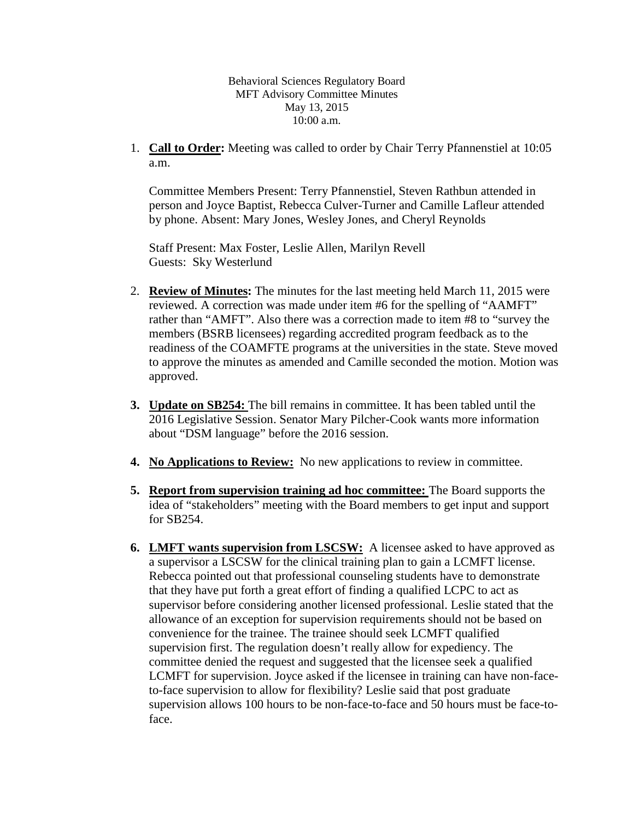Behavioral Sciences Regulatory Board MFT Advisory Committee Minutes May 13, 2015 10:00 a.m.

1. **Call to Order:** Meeting was called to order by Chair Terry Pfannenstiel at 10:05 a.m.

Committee Members Present: Terry Pfannenstiel, Steven Rathbun attended in person and Joyce Baptist, Rebecca Culver-Turner and Camille Lafleur attended by phone. Absent: Mary Jones, Wesley Jones, and Cheryl Reynolds

Staff Present: Max Foster, Leslie Allen, Marilyn Revell Guests: Sky Westerlund

- 2. **Review of Minutes:** The minutes for the last meeting held March 11, 2015 were reviewed. A correction was made under item #6 for the spelling of "AAMFT" rather than "AMFT". Also there was a correction made to item #8 to "survey the members (BSRB licensees) regarding accredited program feedback as to the readiness of the COAMFTE programs at the universities in the state. Steve moved to approve the minutes as amended and Camille seconded the motion. Motion was approved.
- **3. Update on SB254:** The bill remains in committee. It has been tabled until the 2016 Legislative Session. Senator Mary Pilcher-Cook wants more information about "DSM language" before the 2016 session.
- **4. No Applications to Review:** No new applications to review in committee.
- **5. Report from supervision training ad hoc committee:** The Board supports the idea of "stakeholders" meeting with the Board members to get input and support for SB254.
- **6. LMFT wants supervision from LSCSW:** A licensee asked to have approved as a supervisor a LSCSW for the clinical training plan to gain a LCMFT license. Rebecca pointed out that professional counseling students have to demonstrate that they have put forth a great effort of finding a qualified LCPC to act as supervisor before considering another licensed professional. Leslie stated that the allowance of an exception for supervision requirements should not be based on convenience for the trainee. The trainee should seek LCMFT qualified supervision first. The regulation doesn't really allow for expediency. The committee denied the request and suggested that the licensee seek a qualified LCMFT for supervision. Joyce asked if the licensee in training can have non-faceto-face supervision to allow for flexibility? Leslie said that post graduate supervision allows 100 hours to be non-face-to-face and 50 hours must be face-toface.